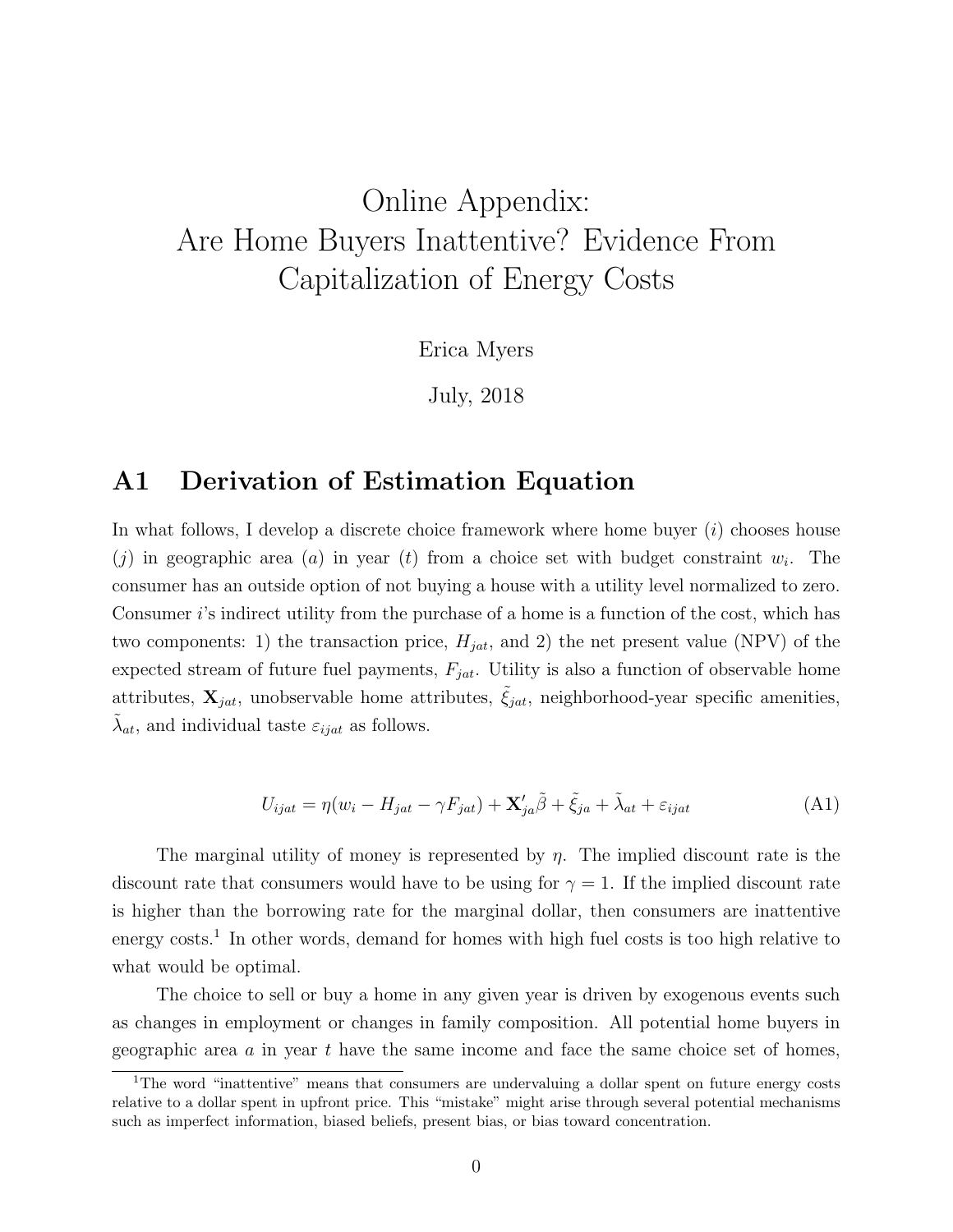# Online Appendix: Are Home Buyers Inattentive? Evidence From Capitalization of Energy Costs

Erica Myers

July, 2018

### A1 Derivation of Estimation Equation

In what follows, I develop a discrete choice framework where home buyer  $(i)$  chooses house (j) in geographic area (a) in year (t) from a choice set with budget constraint  $w_i$ . The consumer has an outside option of not buying a house with a utility level normalized to zero. Consumer  $i$ 's indirect utility from the purchase of a home is a function of the cost, which has two components: 1) the transaction price,  $H_{jat}$ , and 2) the net present value (NPV) of the expected stream of future fuel payments,  $F_{jat}$ . Utility is also a function of observable home attributes,  $\mathbf{X}_{jat}$ , unobservable home attributes,  $\hat{\xi}_{jat}$ , neighborhood-year specific amenities,  $\tilde{\lambda}_{at}$ , and individual taste  $\varepsilon_{ijat}$  as follows.

$$
U_{ijat} = \eta (w_i - H_{jat} - \gamma F_{jat}) + \mathbf{X}'_{ja} \tilde{\beta} + \tilde{\xi}_{ja} + \tilde{\lambda}_{at} + \varepsilon_{ijat}
$$
(A1)

The marginal utility of money is represented by  $\eta$ . The implied discount rate is the discount rate that consumers would have to be using for  $\gamma = 1$ . If the implied discount rate is higher than the borrowing rate for the marginal dollar, then consumers are inattentive energy costs.<sup>1</sup> In other words, demand for homes with high fuel costs is too high relative to what would be optimal.

The choice to sell or buy a home in any given year is driven by exogenous events such as changes in employment or changes in family composition. All potential home buyers in geographic area  $a$  in year  $t$  have the same income and face the same choice set of homes,

<sup>&</sup>lt;sup>1</sup>The word "inattentive" means that consumers are undervaluing a dollar spent on future energy costs relative to a dollar spent in upfront price. This "mistake" might arise through several potential mechanisms such as imperfect information, biased beliefs, present bias, or bias toward concentration.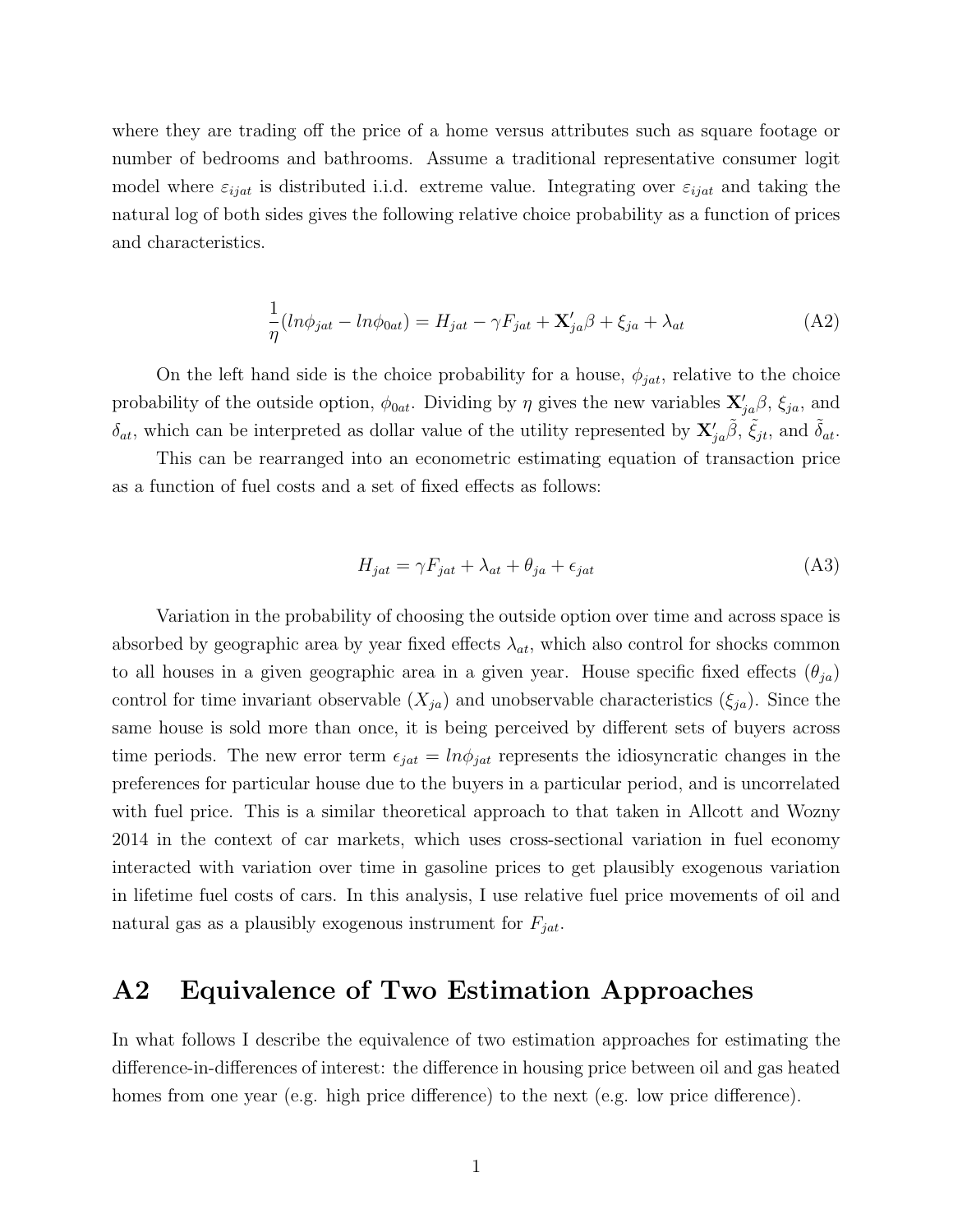where they are trading off the price of a home versus attributes such as square footage or number of bedrooms and bathrooms. Assume a traditional representative consumer logit model where  $\varepsilon_{ijat}$  is distributed i.i.d. extreme value. Integrating over  $\varepsilon_{ijat}$  and taking the natural log of both sides gives the following relative choice probability as a function of prices and characteristics.

$$
\frac{1}{\eta}(\ln \phi_{jat} - \ln \phi_{0at}) = H_{jat} - \gamma F_{jat} + \mathbf{X}'_{ja}\beta + \xi_{ja} + \lambda_{at} \tag{A2}
$$

On the left hand side is the choice probability for a house,  $\phi_{jat}$ , relative to the choice probability of the outside option,  $\phi_{0at}$ . Dividing by  $\eta$  gives the new variables  $\mathbf{X}'_{ja}\beta$ ,  $\xi_{ja}$ , and  $\delta_{at}$ , which can be interpreted as dollar value of the utility represented by  $\mathbf{X}'_{ja}\tilde{\beta}$ ,  $\tilde{\xi}_{jt}$ , and  $\tilde{\delta}_{at}$ .

This can be rearranged into an econometric estimating equation of transaction price as a function of fuel costs and a set of fixed effects as follows:

$$
H_{jat} = \gamma F_{jat} + \lambda_{at} + \theta_{ja} + \epsilon_{jat} \tag{A3}
$$

Variation in the probability of choosing the outside option over time and across space is absorbed by geographic area by year fixed effects  $\lambda_{at}$ , which also control for shocks common to all houses in a given geographic area in a given year. House specific fixed effects  $(\theta_{ja})$ control for time invariant observable  $(X_{ja})$  and unobservable characteristics  $(\xi_{ja})$ . Since the same house is sold more than once, it is being perceived by different sets of buyers across time periods. The new error term  $\epsilon_{jat} = ln \phi_{jat}$  represents the idiosyncratic changes in the preferences for particular house due to the buyers in a particular period, and is uncorrelated with fuel price. This is a similar theoretical approach to that taken in Allcott and Wozny 2014 in the context of car markets, which uses cross-sectional variation in fuel economy interacted with variation over time in gasoline prices to get plausibly exogenous variation in lifetime fuel costs of cars. In this analysis, I use relative fuel price movements of oil and natural gas as a plausibly exogenous instrument for  $F_{jat}$ .

### A2 Equivalence of Two Estimation Approaches

In what follows I describe the equivalence of two estimation approaches for estimating the difference-in-differences of interest: the difference in housing price between oil and gas heated homes from one year (e.g. high price difference) to the next (e.g. low price difference).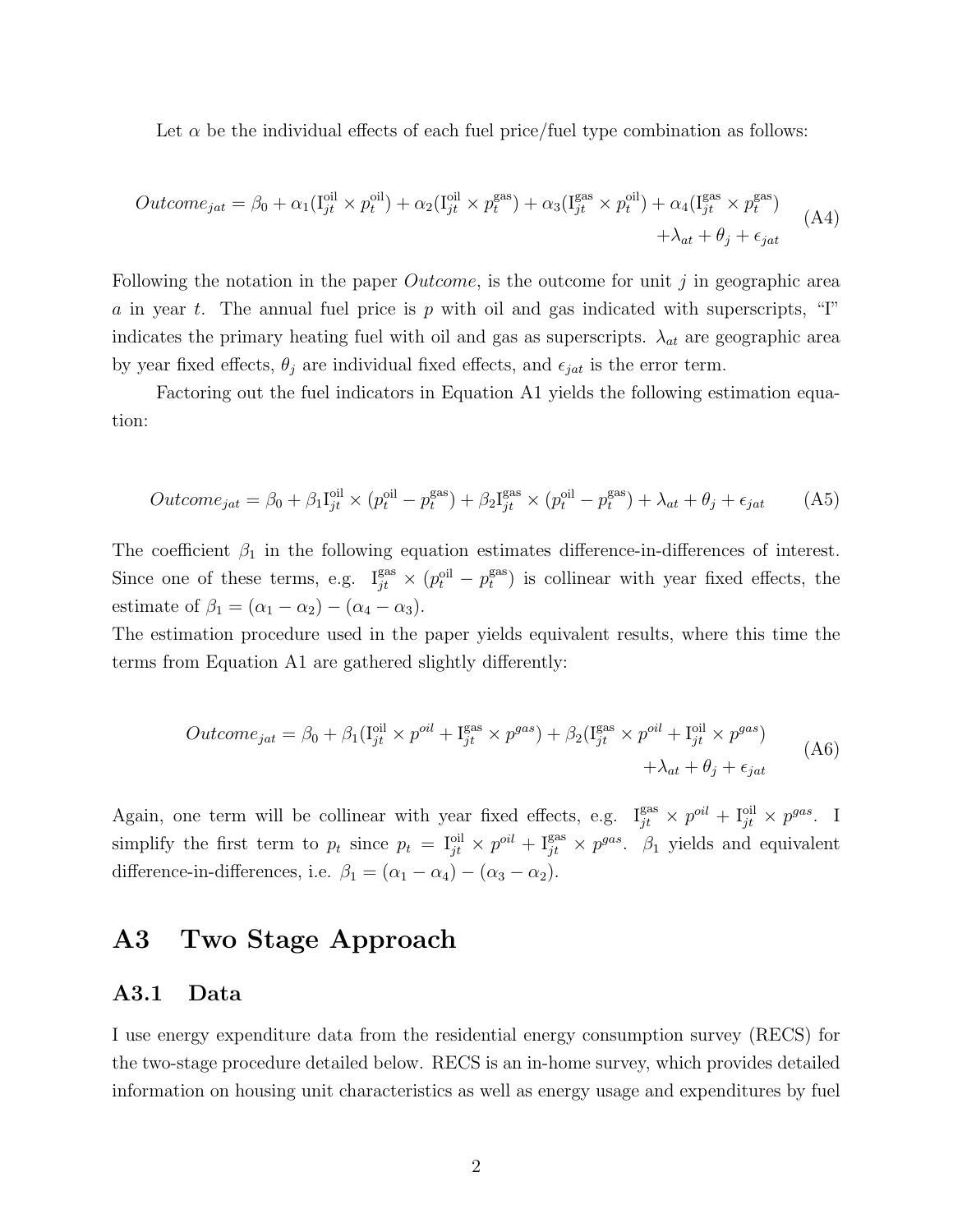Let  $\alpha$  be the individual effects of each fuel price/fuel type combination as follows:

$$
Outcome_{jat} = \beta_0 + \alpha_1(I_{jt}^{oil} \times p_t^{oil}) + \alpha_2(I_{jt}^{oil} \times p_t^{gas}) + \alpha_3(I_{jt}^{gas} \times p_t^{oil}) + \alpha_4(I_{jt}^{gas} \times p_t^{gas}) + \lambda_{at} + \theta_j + \epsilon_{jat}
$$
\n(A4)

Following the notation in the paper  $Outcome$ , is the outcome for unit j in geographic area a in year t. The annual fuel price is p with oil and gas indicated with superscripts, "I" indicates the primary heating fuel with oil and gas as superscripts.  $\lambda_{at}$  are geographic area by year fixed effects,  $\theta_j$  are individual fixed effects, and  $\epsilon_{jat}$  is the error term.

Factoring out the fuel indicators in Equation A1 yields the following estimation equation:

$$
Outcome_{jat} = \beta_0 + \beta_1 I_{jt}^{\text{oil}} \times (p_t^{\text{oil}} - p_t^{\text{gas}}) + \beta_2 I_{jt}^{\text{gas}} \times (p_t^{\text{oil}} - p_t^{\text{gas}}) + \lambda_{at} + \theta_j + \epsilon_{jat} \tag{A5}
$$

The coefficient  $\beta_1$  in the following equation estimates difference-in-differences of interest. Since one of these terms, e.g.  $I_{jt}^{\text{gas}} \times (p_t^{\text{oil}} - p_t^{\text{gas}})$  $t_t^{\text{gas}}$ ) is collinear with year fixed effects, the estimate of  $\beta_1 = (\alpha_1 - \alpha_2) - (\alpha_4 - \alpha_3).$ 

The estimation procedure used in the paper yields equivalent results, where this time the terms from Equation A1 are gathered slightly differently:

$$
Outcome_{jat} = \beta_0 + \beta_1(\mathbf{I}_{jt}^{\text{oil}} \times p^{\text{oil}} + \mathbf{I}_{jt}^{\text{gas}} \times p^{\text{gas}}) + \beta_2(\mathbf{I}_{jt}^{\text{gas}} \times p^{\text{oil}} + \mathbf{I}_{jt}^{\text{oil}} \times p^{\text{gas}}) + \lambda_{at} + \theta_j + \epsilon_{jat}
$$
(A6)

Again, one term will be collinear with year fixed effects, e.g.  $I_{jt}^{\text{gas}} \times p^{\text{od}} + I_{jt}^{\text{oil}} \times p^{\text{gas}}$ . I simplify the first term to  $p_t$  since  $p_t = I_{jt}^{\text{oil}} \times p^{\text{oil}} + I_{jt}^{\text{gas}} \times p^{\text{gas}}$ .  $\beta_1$  yields and equivalent difference-in-differences, i.e.  $\beta_1 = (\alpha_1 - \alpha_4) - (\alpha_3 - \alpha_2)$ .

### A3 Two Stage Approach

#### A3.1 Data

I use energy expenditure data from the residential energy consumption survey (RECS) for the two-stage procedure detailed below. RECS is an in-home survey, which provides detailed information on housing unit characteristics as well as energy usage and expenditures by fuel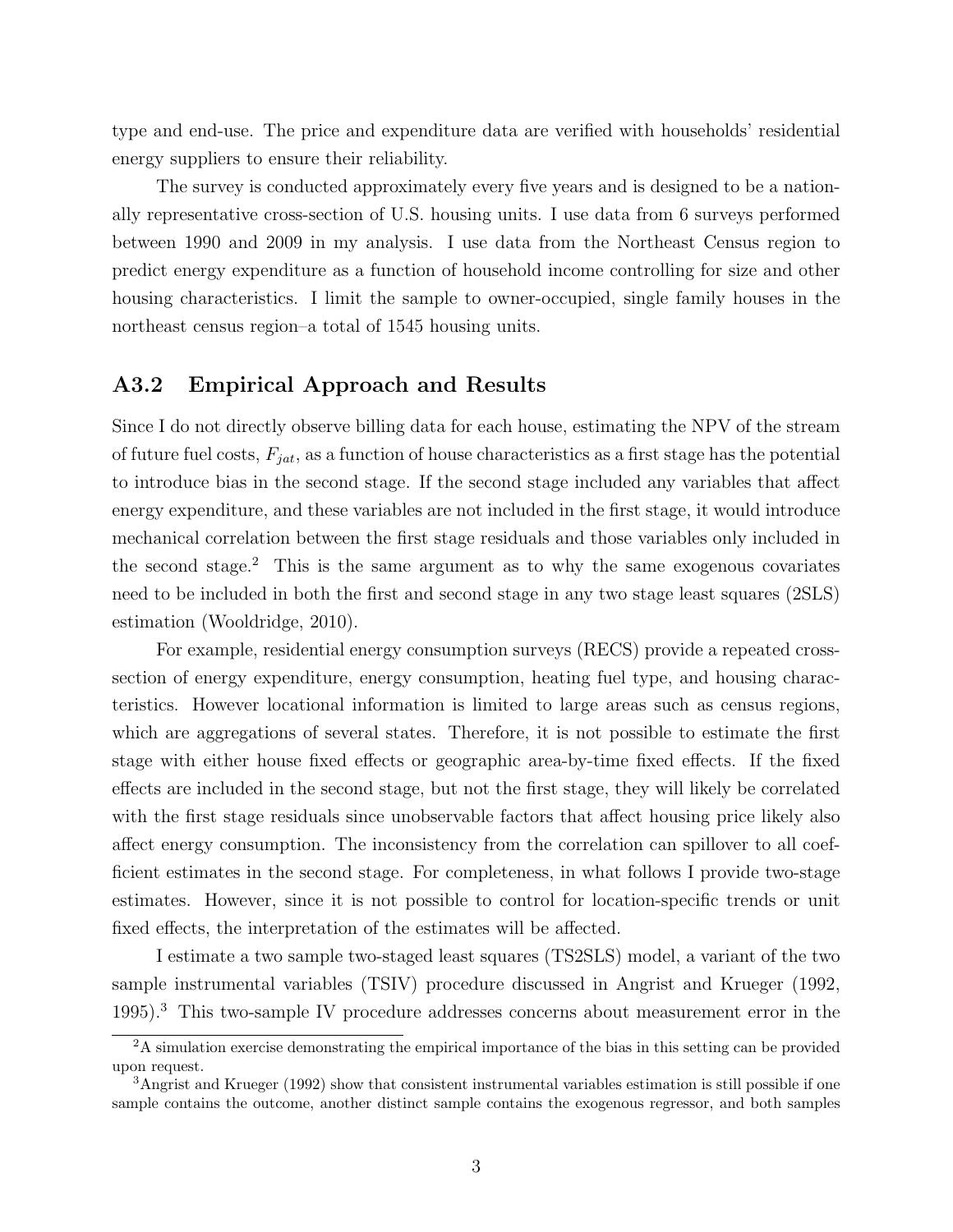type and end-use. The price and expenditure data are verified with households' residential energy suppliers to ensure their reliability.

The survey is conducted approximately every five years and is designed to be a nationally representative cross-section of U.S. housing units. I use data from 6 surveys performed between 1990 and 2009 in my analysis. I use data from the Northeast Census region to predict energy expenditure as a function of household income controlling for size and other housing characteristics. I limit the sample to owner-occupied, single family houses in the northeast census region–a total of 1545 housing units.

#### A3.2 Empirical Approach and Results

Since I do not directly observe billing data for each house, estimating the NPV of the stream of future fuel costs,  $F_{jat}$ , as a function of house characteristics as a first stage has the potential to introduce bias in the second stage. If the second stage included any variables that affect energy expenditure, and these variables are not included in the first stage, it would introduce mechanical correlation between the first stage residuals and those variables only included in the second stage.<sup>2</sup> This is the same argument as to why the same exogenous covariates need to be included in both the first and second stage in any two stage least squares (2SLS) estimation (Wooldridge, 2010).

For example, residential energy consumption surveys (RECS) provide a repeated crosssection of energy expenditure, energy consumption, heating fuel type, and housing characteristics. However locational information is limited to large areas such as census regions, which are aggregations of several states. Therefore, it is not possible to estimate the first stage with either house fixed effects or geographic area-by-time fixed effects. If the fixed effects are included in the second stage, but not the first stage, they will likely be correlated with the first stage residuals since unobservable factors that affect housing price likely also affect energy consumption. The inconsistency from the correlation can spillover to all coefficient estimates in the second stage. For completeness, in what follows I provide two-stage estimates. However, since it is not possible to control for location-specific trends or unit fixed effects, the interpretation of the estimates will be affected.

I estimate a two sample two-staged least squares (TS2SLS) model, a variant of the two sample instrumental variables (TSIV) procedure discussed in Angrist and Krueger (1992, 1995).<sup>3</sup> This two-sample IV procedure addresses concerns about measurement error in the

<sup>&</sup>lt;sup>2</sup>A simulation exercise demonstrating the empirical importance of the bias in this setting can be provided upon request.

<sup>3</sup>Angrist and Krueger (1992) show that consistent instrumental variables estimation is still possible if one sample contains the outcome, another distinct sample contains the exogenous regressor, and both samples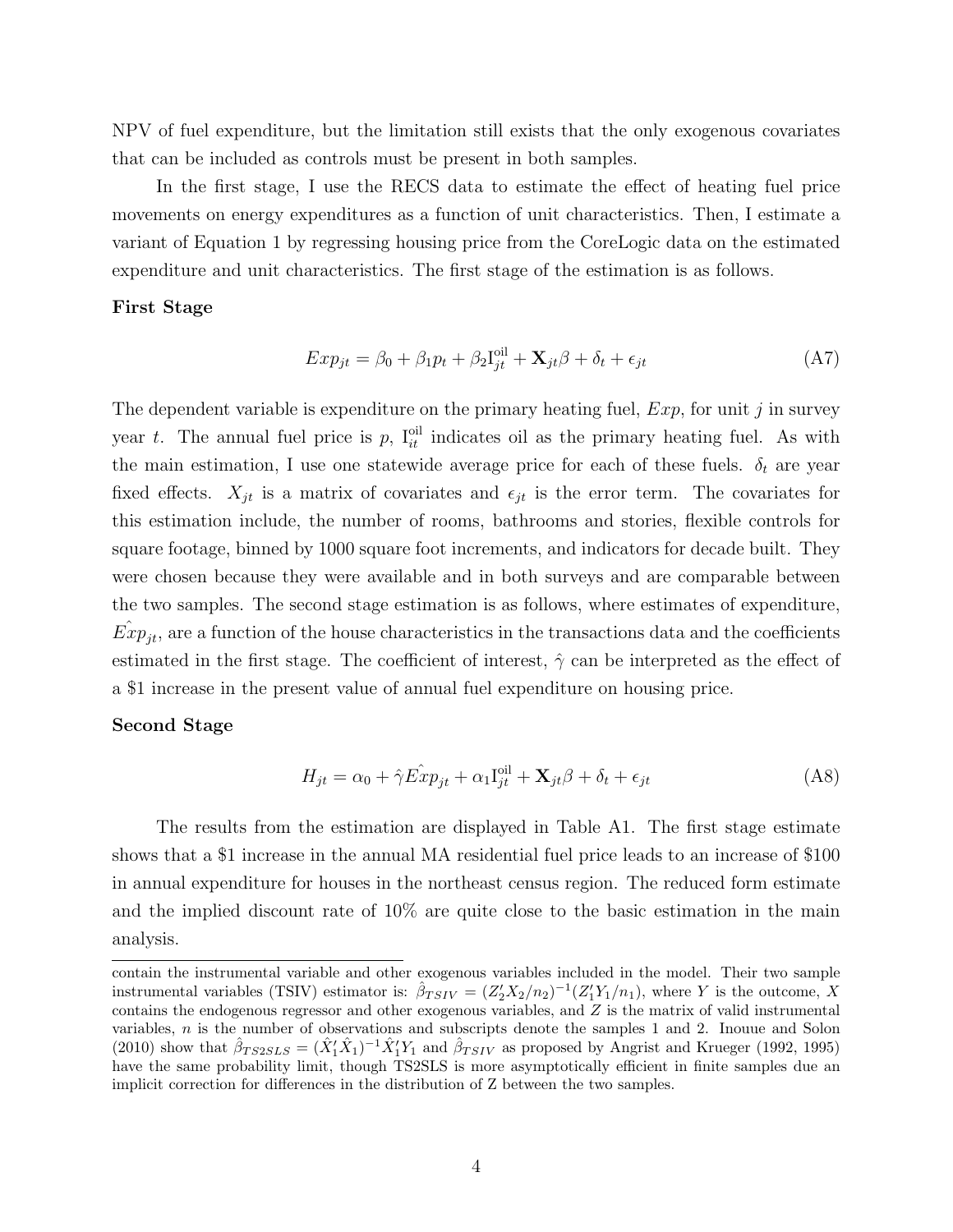NPV of fuel expenditure, but the limitation still exists that the only exogenous covariates that can be included as controls must be present in both samples.

In the first stage, I use the RECS data to estimate the effect of heating fuel price movements on energy expenditures as a function of unit characteristics. Then, I estimate a variant of Equation 1 by regressing housing price from the CoreLogic data on the estimated expenditure and unit characteristics. The first stage of the estimation is as follows.

#### First Stage

$$
Exp_{jt} = \beta_0 + \beta_1 p_t + \beta_2 I_{jt}^{\text{oil}} + \mathbf{X}_{jt} \beta + \delta_t + \epsilon_{jt}
$$
\n(A7)

The dependent variable is expenditure on the primary heating fuel,  $Exp$ , for unit j in survey year t. The annual fuel price is p,  $I_{it}^{\text{oil}}$  indicates oil as the primary heating fuel. As with the main estimation, I use one statewide average price for each of these fuels.  $\delta_t$  are year fixed effects.  $X_{jt}$  is a matrix of covariates and  $\epsilon_{jt}$  is the error term. The covariates for this estimation include, the number of rooms, bathrooms and stories, flexible controls for square footage, binned by 1000 square foot increments, and indicators for decade built. They were chosen because they were available and in both surveys and are comparable between the two samples. The second stage estimation is as follows, where estimates of expenditure,  $\hat{Exp}_{jt}$ , are a function of the house characteristics in the transactions data and the coefficients estimated in the first stage. The coefficient of interest,  $\hat{\gamma}$  can be interpreted as the effect of a \$1 increase in the present value of annual fuel expenditure on housing price.

#### Second Stage

$$
H_{jt} = \alpha_0 + \hat{\gamma} \hat{Exp}_{jt} + \alpha_1 I_{jt}^{\text{oil}} + \mathbf{X}_{jt} \beta + \delta_t + \epsilon_{jt}
$$
\n(A8)

The results from the estimation are displayed in Table A1. The first stage estimate shows that a \$1 increase in the annual MA residential fuel price leads to an increase of \$100 in annual expenditure for houses in the northeast census region. The reduced form estimate and the implied discount rate of 10% are quite close to the basic estimation in the main analysis.

contain the instrumental variable and other exogenous variables included in the model. Their two sample instrumental variables (TSIV) estimator is:  $\hat{\beta}_{TSIV} = (Z_2'X_2/n_2)^{-1}(Z_1'Y_1/n_1)$ , where Y is the outcome, X contains the endogenous regressor and other exogenous variables, and  $Z$  is the matrix of valid instrumental variables, n is the number of observations and subscripts denote the samples 1 and 2. Inouue and Solon (2010) show that  $\hat{\beta}_{TS2SLS} = (\hat{X}_1' \hat{X}_1)^{-1} \hat{X}_1' Y_1$  and  $\hat{\beta}_{TSIV}$  as proposed by Angrist and Krueger (1992, 1995) have the same probability limit, though TS2SLS is more asymptotically efficient in finite samples due an implicit correction for differences in the distribution of Z between the two samples.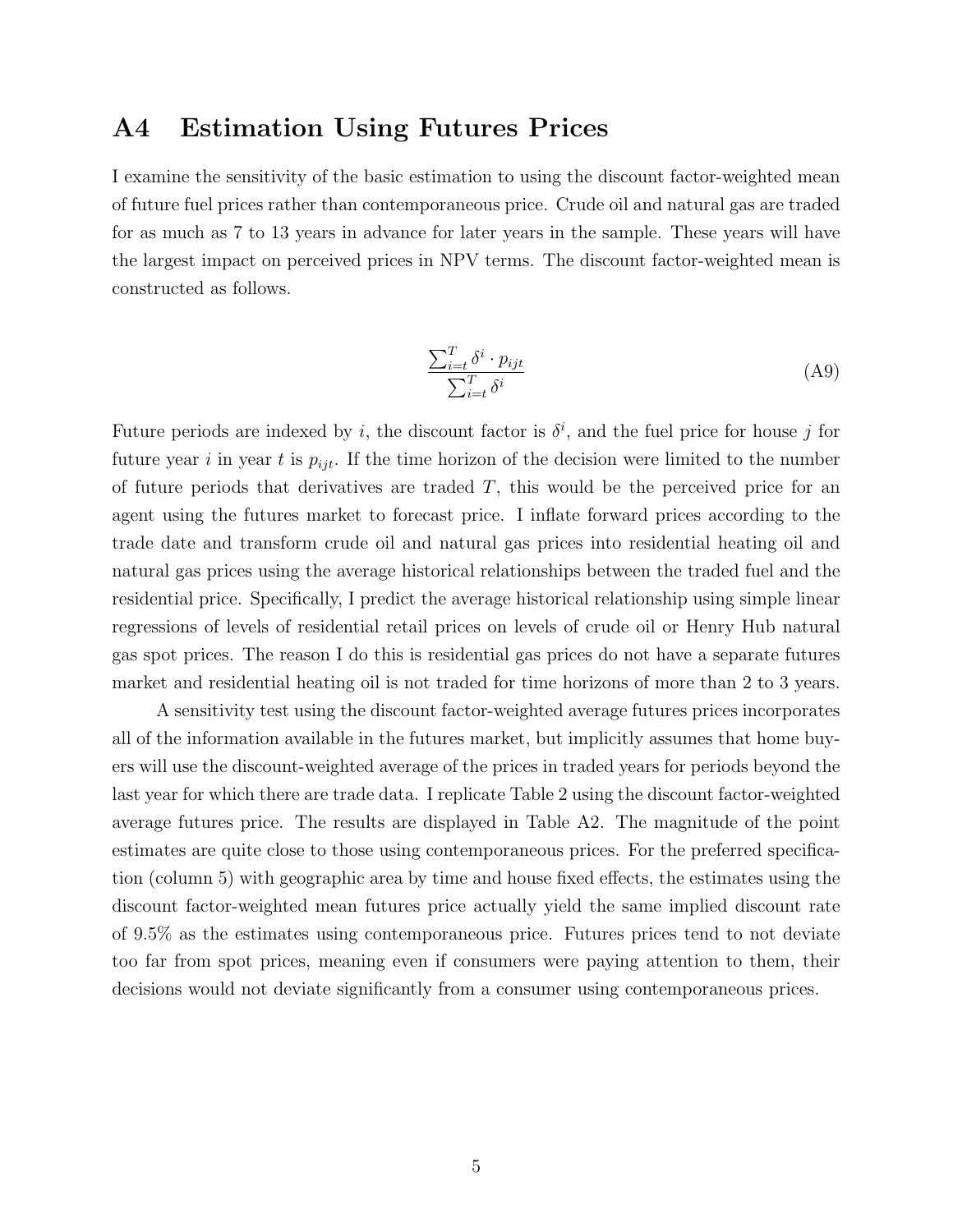### A4 Estimation Using Futures Prices

I examine the sensitivity of the basic estimation to using the discount factor-weighted mean of future fuel prices rather than contemporaneous price. Crude oil and natural gas are traded for as much as 7 to 13 years in advance for later years in the sample. These years will have the largest impact on perceived prices in NPV terms. The discount factor-weighted mean is constructed as follows.

$$
\frac{\sum_{i=t}^{T} \delta^i \cdot p_{ijt}}{\sum_{i=t}^{T} \delta^i} \tag{A9}
$$

Future periods are indexed by i, the discount factor is  $\delta^i$ , and the fuel price for house j for future year i in year t is  $p_{ijt}$ . If the time horizon of the decision were limited to the number of future periods that derivatives are traded  $T$ , this would be the perceived price for an agent using the futures market to forecast price. I inflate forward prices according to the trade date and transform crude oil and natural gas prices into residential heating oil and natural gas prices using the average historical relationships between the traded fuel and the residential price. Specifically, I predict the average historical relationship using simple linear regressions of levels of residential retail prices on levels of crude oil or Henry Hub natural gas spot prices. The reason I do this is residential gas prices do not have a separate futures market and residential heating oil is not traded for time horizons of more than 2 to 3 years.

A sensitivity test using the discount factor-weighted average futures prices incorporates all of the information available in the futures market, but implicitly assumes that home buyers will use the discount-weighted average of the prices in traded years for periods beyond the last year for which there are trade data. I replicate Table 2 using the discount factor-weighted average futures price. The results are displayed in Table A2. The magnitude of the point estimates are quite close to those using contemporaneous prices. For the preferred specification (column 5) with geographic area by time and house fixed effects, the estimates using the discount factor-weighted mean futures price actually yield the same implied discount rate of 9.5% as the estimates using contemporaneous price. Futures prices tend to not deviate too far from spot prices, meaning even if consumers were paying attention to them, their decisions would not deviate significantly from a consumer using contemporaneous prices.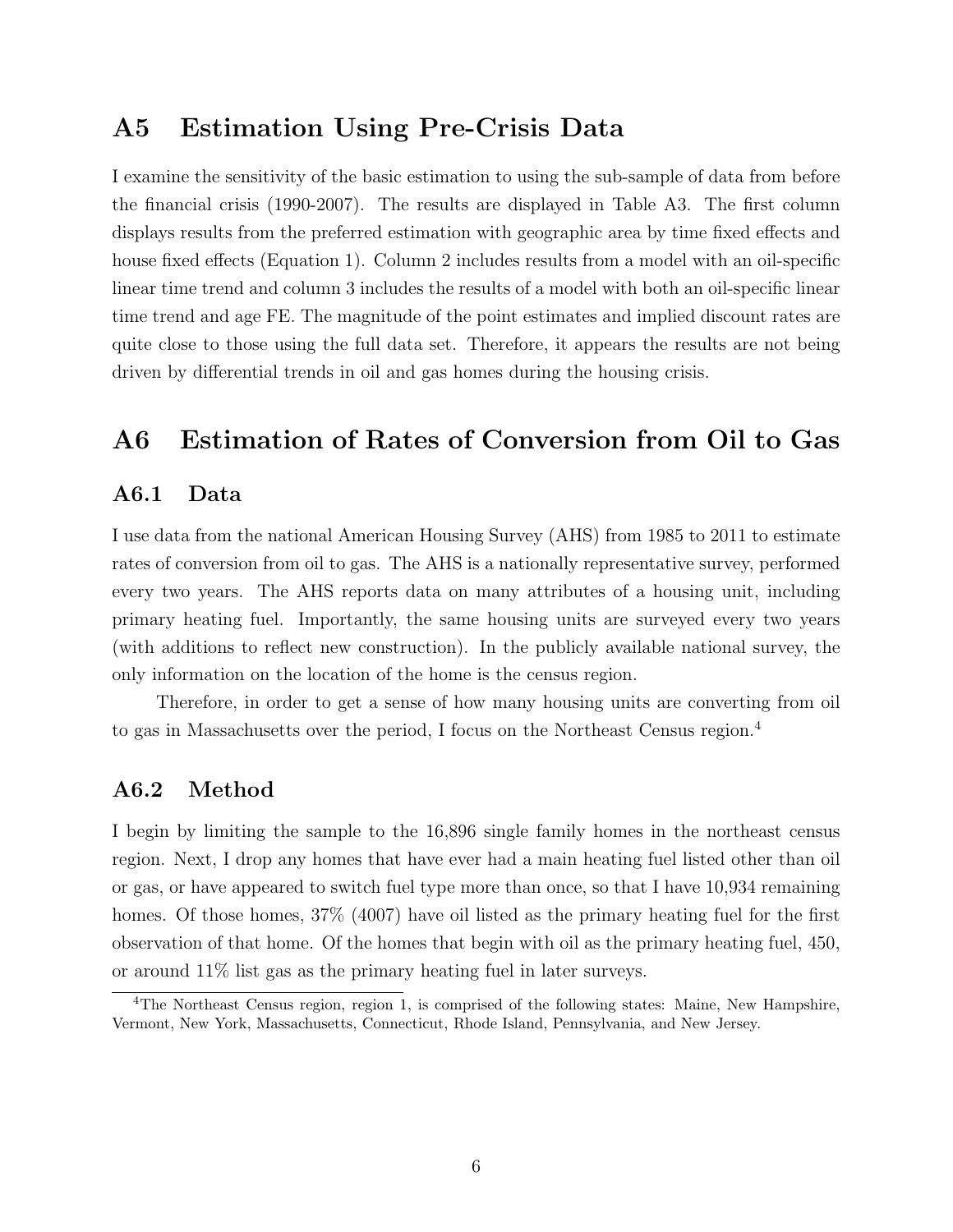### A5 Estimation Using Pre-Crisis Data

I examine the sensitivity of the basic estimation to using the sub-sample of data from before the financial crisis (1990-2007). The results are displayed in Table A3. The first column displays results from the preferred estimation with geographic area by time fixed effects and house fixed effects (Equation 1). Column 2 includes results from a model with an oil-specific linear time trend and column 3 includes the results of a model with both an oil-specific linear time trend and age FE. The magnitude of the point estimates and implied discount rates are quite close to those using the full data set. Therefore, it appears the results are not being driven by differential trends in oil and gas homes during the housing crisis.

### A6 Estimation of Rates of Conversion from Oil to Gas

#### A6.1 Data

I use data from the national American Housing Survey (AHS) from 1985 to 2011 to estimate rates of conversion from oil to gas. The AHS is a nationally representative survey, performed every two years. The AHS reports data on many attributes of a housing unit, including primary heating fuel. Importantly, the same housing units are surveyed every two years (with additions to reflect new construction). In the publicly available national survey, the only information on the location of the home is the census region.

Therefore, in order to get a sense of how many housing units are converting from oil to gas in Massachusetts over the period, I focus on the Northeast Census region.<sup>4</sup>

#### A6.2 Method

I begin by limiting the sample to the 16,896 single family homes in the northeast census region. Next, I drop any homes that have ever had a main heating fuel listed other than oil or gas, or have appeared to switch fuel type more than once, so that I have 10,934 remaining homes. Of those homes,  $37\%$  (4007) have oil listed as the primary heating fuel for the first observation of that home. Of the homes that begin with oil as the primary heating fuel, 450, or around 11% list gas as the primary heating fuel in later surveys.

<sup>4</sup>The Northeast Census region, region 1, is comprised of the following states: Maine, New Hampshire, Vermont, New York, Massachusetts, Connecticut, Rhode Island, Pennsylvania, and New Jersey.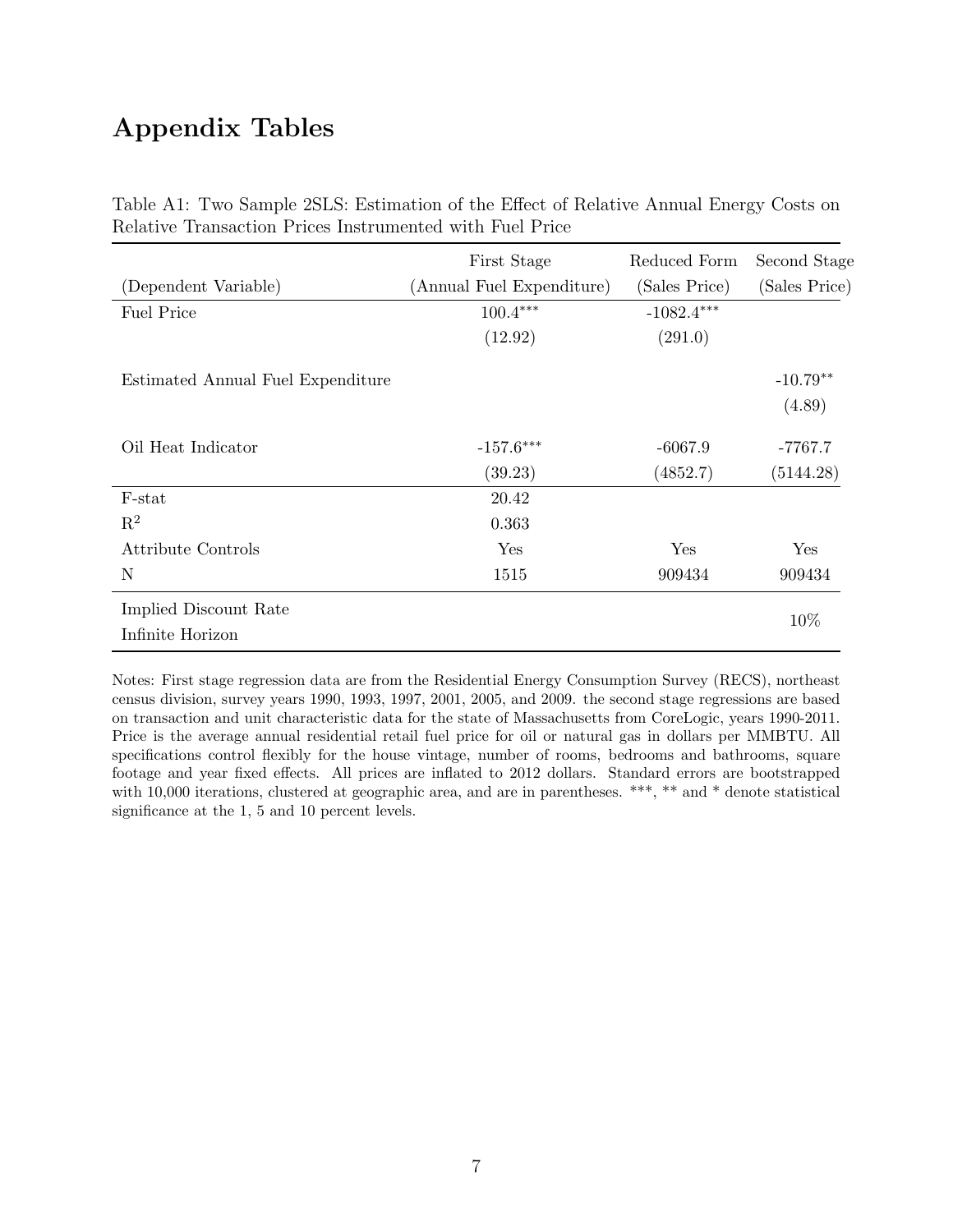## Appendix Tables

|                                   | First Stage               | Reduced Form  | Second Stage  |
|-----------------------------------|---------------------------|---------------|---------------|
| (Dependent Variable)              | (Annual Fuel Expenditure) | (Sales Price) | (Sales Price) |
| <b>Fuel Price</b>                 | $100.4***$                | $-1082.4***$  |               |
|                                   | (12.92)                   | (291.0)       |               |
| Estimated Annual Fuel Expenditure |                           |               | $-10.79**$    |
|                                   |                           |               | (4.89)        |
| Oil Heat Indicator                | $-157.6***$               | $-6067.9$     | $-7767.7$     |
|                                   | (39.23)                   | (4852.7)      | (5144.28)     |
| F-stat                            | 20.42                     |               |               |
| $\mathbf{R}^2$                    | 0.363                     |               |               |
| <b>Attribute Controls</b>         | Yes                       | Yes           | Yes           |
| N                                 | 1515                      | 909434        | 909434        |
| Implied Discount Rate             |                           |               | 10%           |
| Infinite Horizon                  |                           |               |               |

Table A1: Two Sample 2SLS: Estimation of the Effect of Relative Annual Energy Costs on Relative Transaction Prices Instrumented with Fuel Price

Notes: First stage regression data are from the Residential Energy Consumption Survey (RECS), northeast census division, survey years 1990, 1993, 1997, 2001, 2005, and 2009. the second stage regressions are based on transaction and unit characteristic data for the state of Massachusetts from CoreLogic, years 1990-2011. Price is the average annual residential retail fuel price for oil or natural gas in dollars per MMBTU. All specifications control flexibly for the house vintage, number of rooms, bedrooms and bathrooms, square footage and year fixed effects. All prices are inflated to 2012 dollars. Standard errors are bootstrapped with 10,000 iterations, clustered at geographic area, and are in parentheses. \*\*\*, \*\* and \* denote statistical significance at the 1, 5 and 10 percent levels.